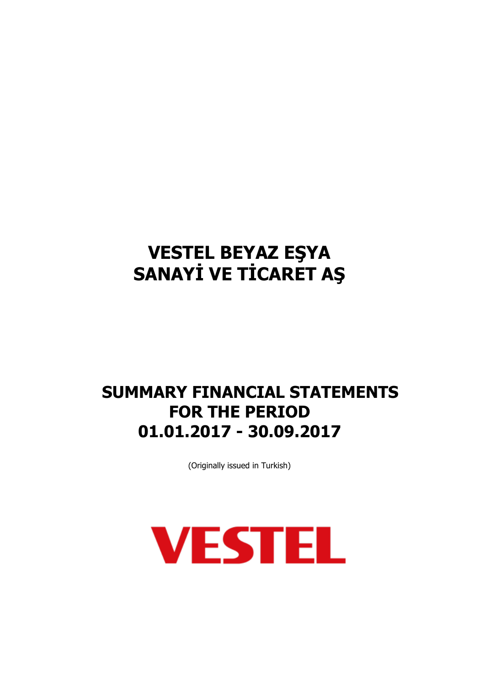## **SUMMARY FINANCIAL STATEMENTS FOR THE PERIOD 01.01.2017 - 30.09.2017**

(Originally issued in Turkish)

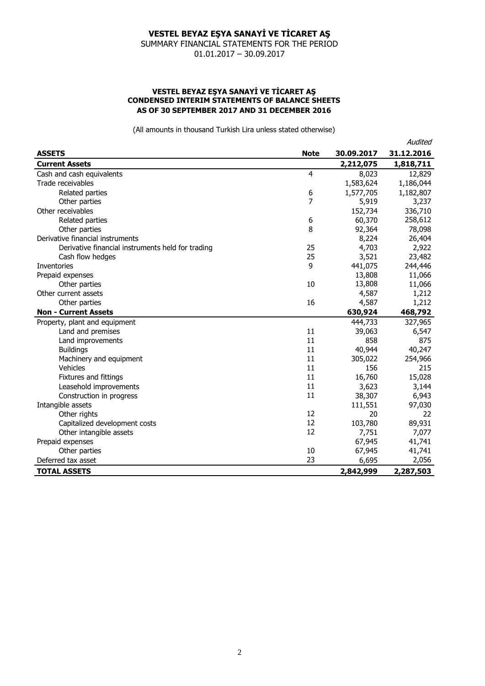SUMMARY FINANCIAL STATEMENTS FOR THE PERIOD 01.01.2017 – 30.09.2017

#### **VESTEL BEYAZ EŞYA SANAYİ VE TİCARET AŞ CONDENSED INTERIM STATEMENTS OF BALANCE SHEETS AS OF 30 SEPTEMBER 2017 AND 31 DECEMBER 2016**

|                                                   |             |            | Audited    |
|---------------------------------------------------|-------------|------------|------------|
| <b>ASSETS</b>                                     | <b>Note</b> | 30.09.2017 | 31.12.2016 |
| <b>Current Assets</b>                             |             | 2,212,075  | 1,818,711  |
| Cash and cash equivalents                         | 4           | 8,023      | 12,829     |
| Trade receivables                                 |             | 1,583,624  | 1,186,044  |
| Related parties                                   | 6           | 1,577,705  | 1,182,807  |
| Other parties                                     | 7           | 5,919      | 3,237      |
| Other receivables                                 |             | 152,734    | 336,710    |
| Related parties                                   | 6           | 60,370     | 258,612    |
| Other parties                                     | 8           | 92,364     | 78,098     |
| Derivative financial instruments                  |             | 8,224      | 26,404     |
| Derivative financial instruments held for trading | 25          | 4,703      | 2,922      |
| Cash flow hedges                                  | 25          | 3,521      | 23,482     |
| Inventories                                       | 9           | 441,075    | 244,446    |
| Prepaid expenses                                  |             | 13,808     | 11,066     |
| Other parties                                     | 10          | 13,808     | 11,066     |
| Other current assets                              |             | 4,587      | 1,212      |
| Other parties                                     | 16          | 4,587      | 1,212      |
| <b>Non - Current Assets</b>                       |             | 630,924    | 468,792    |
| Property, plant and equipment                     |             | 444,733    | 327,965    |
| Land and premises                                 | 11          | 39,063     | 6,547      |
| Land improvements                                 | 11          | 858        | 875        |
| <b>Buildings</b>                                  | 11          | 40,944     | 40,247     |
| Machinery and equipment                           | 11          | 305,022    | 254,966    |
| Vehicles                                          | 11          | 156        | 215        |
| Fixtures and fittings                             | 11          | 16,760     | 15,028     |
| Leasehold improvements                            | 11          | 3,623      | 3,144      |
| Construction in progress                          | 11          | 38,307     | 6,943      |
| Intangible assets                                 |             | 111,551    | 97,030     |
| Other rights                                      | 12          | 20         | 22         |
| Capitalized development costs                     | 12          | 103,780    | 89,931     |
| Other intangible assets                           | 12          | 7,751      | 7,077      |
| Prepaid expenses                                  |             | 67,945     | 41,741     |
| Other parties                                     | 10          | 67,945     | 41,741     |
| Deferred tax asset                                | 23          | 6,695      | 2,056      |
| <b>TOTAL ASSETS</b>                               |             | 2,842,999  | 2,287,503  |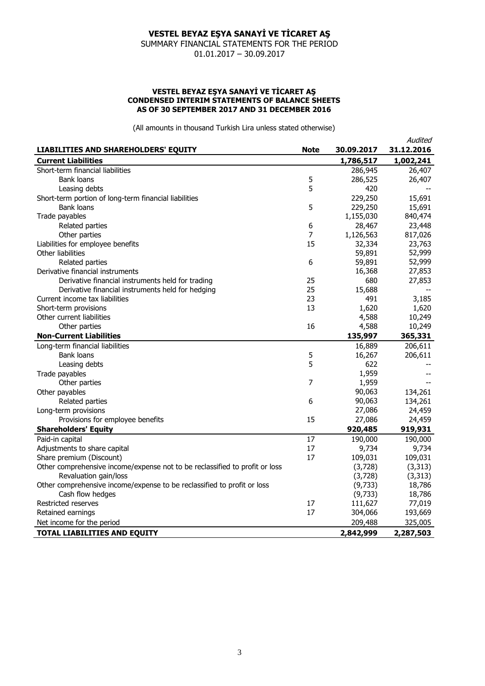SUMMARY FINANCIAL STATEMENTS FOR THE PERIOD 01.01.2017 – 30.09.2017

#### **VESTEL BEYAZ EŞYA SANAYİ VE TİCARET AŞ CONDENSED INTERIM STATEMENTS OF BALANCE SHEETS AS OF 30 SEPTEMBER 2017 AND 31 DECEMBER 2016**

|                                                                             |             |            | Audited    |
|-----------------------------------------------------------------------------|-------------|------------|------------|
| LIABILITIES AND SHAREHOLDERS' EQUITY                                        | <b>Note</b> | 30.09.2017 | 31.12.2016 |
| <b>Current Liabilities</b>                                                  |             | 1,786,517  | 1,002,241  |
| Short-term financial liabilities                                            |             | 286,945    | 26,407     |
| Bank loans                                                                  | 5           | 286,525    | 26,407     |
| Leasing debts                                                               | 5           | 420        |            |
| Short-term portion of long-term financial liabilities                       |             | 229,250    | 15,691     |
| <b>Bank loans</b>                                                           | 5           | 229,250    | 15,691     |
| Trade payables                                                              |             | 1,155,030  | 840,474    |
| Related parties                                                             | 6           | 28,467     | 23,448     |
| Other parties                                                               | 7           | 1,126,563  | 817,026    |
| Liabilities for employee benefits                                           | 15          | 32,334     | 23,763     |
| Other liabilities                                                           |             | 59,891     | 52,999     |
| Related parties                                                             | 6           | 59,891     | 52,999     |
| Derivative financial instruments                                            |             | 16,368     | 27,853     |
| Derivative financial instruments held for trading                           | 25          | 680        | 27,853     |
| Derivative financial instruments held for hedging                           | 25          | 15,688     |            |
| Current income tax liabilities                                              | 23          | 491        | 3,185      |
| Short-term provisions                                                       | 13          | 1,620      | 1,620      |
| Other current liabilities                                                   |             | 4,588      | 10,249     |
| Other parties                                                               | 16          | 4,588      | 10,249     |
| <b>Non-Current Liabilities</b>                                              |             | 135,997    | 365,331    |
| Long-term financial liabilities                                             |             | 16,889     | 206,611    |
| <b>Bank loans</b>                                                           | 5           | 16,267     | 206,611    |
| Leasing debts                                                               | 5           | 622        |            |
| Trade payables                                                              |             | 1,959      |            |
| Other parties                                                               | 7           | 1,959      |            |
| Other payables                                                              |             | 90,063     | 134,261    |
| Related parties                                                             | 6           | 90,063     | 134,261    |
| Long-term provisions                                                        |             | 27,086     | 24,459     |
| Provisions for employee benefits                                            | 15          | 27,086     | 24,459     |
| <b>Shareholders' Equity</b>                                                 |             | 920,485    | 919,931    |
| Paid-in capital                                                             | 17          | 190,000    | 190,000    |
| Adjustments to share capital                                                | 17          | 9,734      | 9,734      |
| Share premium (Discount)                                                    | 17          | 109,031    | 109,031    |
| Other comprehensive income/expense not to be reclassified to profit or loss |             | (3,728)    | (3, 313)   |
| Revaluation gain/loss                                                       |             | (3,728)    | (3, 313)   |
| Other comprehensive income/expense to be reclassified to profit or loss     |             | (9,733)    | 18,786     |
| Cash flow hedges                                                            |             | (9,733)    | 18,786     |
| Restricted reserves                                                         | 17          | 111,627    | 77,019     |
| Retained earnings                                                           | 17          | 304,066    | 193,669    |
| Net income for the period                                                   |             | 209,488    | 325,005    |
| <b>TOTAL LIABILITIES AND EQUITY</b>                                         |             | 2,842,999  | 2,287,503  |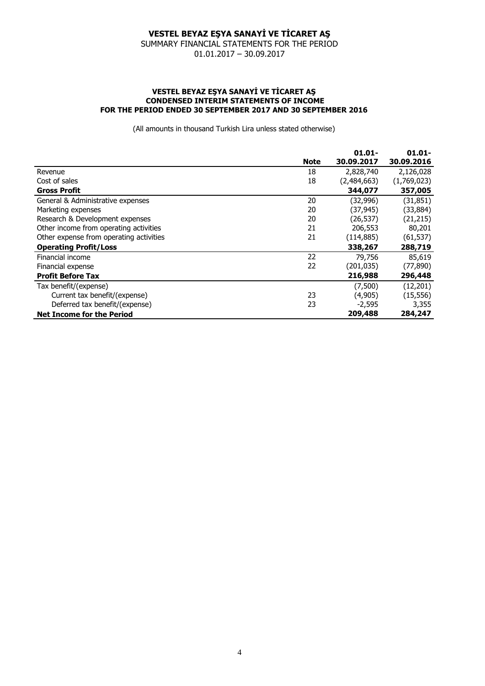SUMMARY FINANCIAL STATEMENTS FOR THE PERIOD 01.01.2017 – 30.09.2017

#### **VESTEL BEYAZ EŞYA SANAYİ VE TİCARET AŞ CONDENSED INTERIM STATEMENTS OF INCOME FOR THE PERIOD ENDED 30 SEPTEMBER 2017 AND 30 SEPTEMBER 2016**

|                                         |             | $01.01 -$   | $01.01 -$   |
|-----------------------------------------|-------------|-------------|-------------|
|                                         | <b>Note</b> | 30.09.2017  | 30.09.2016  |
| Revenue                                 | 18          | 2,828,740   | 2,126,028   |
| Cost of sales                           | 18          | (2,484,663) | (1,769,023) |
| <b>Gross Profit</b>                     |             | 344,077     | 357,005     |
| General & Administrative expenses       | 20          | (32,996)    | (31, 851)   |
| Marketing expenses                      | 20          | (37, 945)   | (33, 884)   |
| Research & Development expenses         | 20          | (26, 537)   | (21, 215)   |
| Other income from operating activities  | 21          | 206,553     | 80,201      |
| Other expense from operating activities | 21          | (114, 885)  | (61, 537)   |
| <b>Operating Profit/Loss</b>            |             | 338,267     | 288,719     |
| Financial income                        | 22          | 79,756      | 85,619      |
| Financial expense                       | 22          | (201,035)   | (77, 890)   |
| <b>Profit Before Tax</b>                |             | 216,988     | 296,448     |
| Tax benefit/(expense)                   |             | (7,500)     | (12, 201)   |
| Current tax benefit/(expense)           | 23          | (4, 905)    | (15, 556)   |
| Deferred tax benefit/(expense)          | 23          | $-2,595$    | 3,355       |
| <b>Net Income for the Period</b>        |             | 209,488     | 284,247     |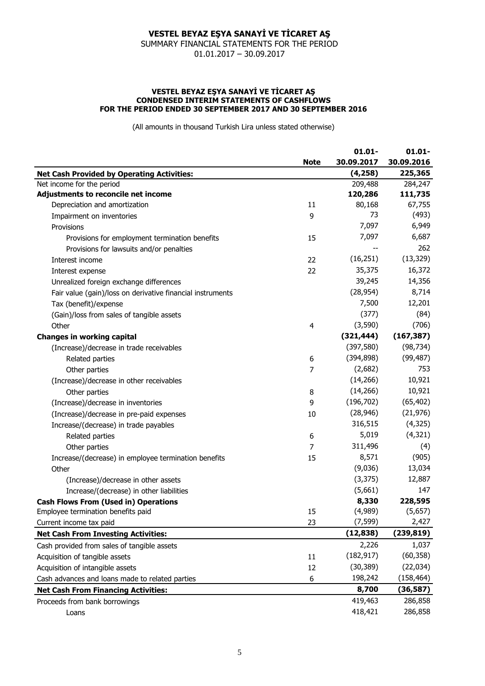SUMMARY FINANCIAL STATEMENTS FOR THE PERIOD 01.01.2017 – 30.09.2017

#### **VESTEL BEYAZ EŞYA SANAYİ VE TİCARET AŞ CONDENSED INTERIM STATEMENTS OF CASHFLOWS FOR THE PERIOD ENDED 30 SEPTEMBER 2017 AND 30 SEPTEMBER 2016**

|                                                            | $01.01 -$  | $01.01 -$  |
|------------------------------------------------------------|------------|------------|
| <b>Note</b>                                                | 30.09.2017 | 30.09.2016 |
| <b>Net Cash Provided by Operating Activities:</b>          | (4, 258)   | 225,365    |
| Net income for the period                                  | 209,488    | 284,247    |
| Adjustments to reconcile net income                        | 120,286    | 111,735    |
| Depreciation and amortization<br>11                        | 80,168     | 67,755     |
| 9<br>Impairment on inventories                             | 73         | (493)      |
| Provisions                                                 | 7,097      | 6,949      |
| Provisions for employment termination benefits<br>15       | 7,097      | 6,687      |
| Provisions for lawsuits and/or penalties                   |            | 262        |
| 22<br>Interest income                                      | (16, 251)  | (13, 329)  |
| 22<br>Interest expense                                     | 35,375     | 16,372     |
| Unrealized foreign exchange differences                    | 39,245     | 14,356     |
| Fair value (gain)/loss on derivative financial instruments | (28, 954)  | 8,714      |
| Tax (benefit)/expense                                      | 7,500      | 12,201     |
| (Gain)/loss from sales of tangible assets                  | (377)      | (84)       |
| Other<br>4                                                 | (3,590)    | (706)      |
| <b>Changes in working capital</b>                          | (321, 444) | (167, 387) |
| (Increase)/decrease in trade receivables                   | (397, 580) | (98, 734)  |
| Related parties<br>6                                       | (394, 898) | (99, 487)  |
| 7<br>Other parties                                         | (2,682)    | 753        |
| (Increase)/decrease in other receivables                   | (14, 266)  | 10,921     |
| Other parties<br>8                                         | (14, 266)  | 10,921     |
| 9<br>(Increase)/decrease in inventories                    | (196, 702) | (65, 402)  |
| (Increase)/decrease in pre-paid expenses<br>10             | (28, 946)  | (21, 976)  |
| Increase/(decrease) in trade payables                      | 316,515    | (4,325)    |
| 6<br>Related parties                                       | 5,019      | (4, 321)   |
| 7<br>Other parties                                         | 311,496    | (4)        |
| Increase/(decrease) in employee termination benefits<br>15 | 8,571      | (905)      |
| Other                                                      | (9,036)    | 13,034     |
| (Increase)/decrease in other assets                        | (3, 375)   | 12,887     |
| Increase/(decrease) in other liabilities                   | (5,661)    | 147        |
| <b>Cash Flows From (Used in) Operations</b>                | 8,330      | 228,595    |
| 15<br>Employee termination benefits paid                   | (4,989)    | (5,657)    |
| 23<br>Current income tax paid                              | (7, 599)   | 2,427      |
| <b>Net Cash From Investing Activities:</b>                 | (12, 838)  | (239, 819) |
| Cash provided from sales of tangible assets                | 2,226      | 1,037      |
| Acquisition of tangible assets<br>11                       | (182, 917) | (60, 358)  |
| Acquisition of intangible assets<br>12                     | (30, 389)  | (22, 034)  |
| Cash advances and loans made to related parties<br>6       | 198,242    | (158, 464) |
| <b>Net Cash From Financing Activities:</b>                 | 8,700      | (36, 587)  |
| Proceeds from bank borrowings                              | 419,463    | 286,858    |
| Loans                                                      | 418,421    | 286,858    |